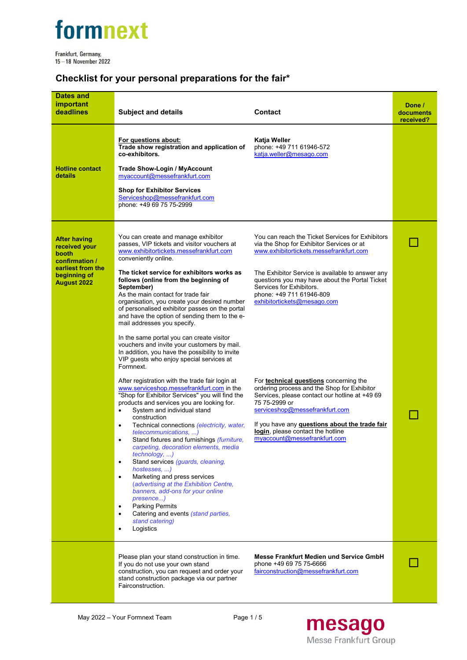

Frankfurt, Germany,<br>15 – 18 November 2022

## **Checklist for your personal preparations for the fair\***

| <b>Dates and</b><br>important<br>deadlines                                                                                 | <b>Subject and details</b>                                                                                                                                                                                                                                                                                                                                                                                                                                                                                                                                                                                                                                                                                                                                                                                                                                                                                                                                                                                                                                                                                                                                                                                                                                                                                                                                                                                                                                                             | <b>Contact</b>                                                                                                                                                                                                                                                                                                                                                                                                                                                                                                                                                                                                                                                           | Done /<br>documents<br>received? |
|----------------------------------------------------------------------------------------------------------------------------|----------------------------------------------------------------------------------------------------------------------------------------------------------------------------------------------------------------------------------------------------------------------------------------------------------------------------------------------------------------------------------------------------------------------------------------------------------------------------------------------------------------------------------------------------------------------------------------------------------------------------------------------------------------------------------------------------------------------------------------------------------------------------------------------------------------------------------------------------------------------------------------------------------------------------------------------------------------------------------------------------------------------------------------------------------------------------------------------------------------------------------------------------------------------------------------------------------------------------------------------------------------------------------------------------------------------------------------------------------------------------------------------------------------------------------------------------------------------------------------|--------------------------------------------------------------------------------------------------------------------------------------------------------------------------------------------------------------------------------------------------------------------------------------------------------------------------------------------------------------------------------------------------------------------------------------------------------------------------------------------------------------------------------------------------------------------------------------------------------------------------------------------------------------------------|----------------------------------|
| <b>Hotline contact</b><br>details                                                                                          | For questions about:<br>Trade show registration and application of<br>co-exhibitors.<br><b>Trade Show-Login / MyAccount</b><br>myaccount@messefrankfurt.com<br><b>Shop for Exhibitor Services</b><br>Serviceshop@messefrankfurt.com<br>phone: +49 69 75 75-2999                                                                                                                                                                                                                                                                                                                                                                                                                                                                                                                                                                                                                                                                                                                                                                                                                                                                                                                                                                                                                                                                                                                                                                                                                        | Katja Weller<br>phone: +49 711 61946-572<br>katja.weller@mesago.com                                                                                                                                                                                                                                                                                                                                                                                                                                                                                                                                                                                                      |                                  |
| <b>After having</b><br>received your<br>booth<br>confirmation /<br>earliest from the<br>beginning of<br><b>August 2022</b> | You can create and manage exhibitor<br>passes, VIP tickets and visitor vouchers at<br>www.exhibitortickets.messefrankfurt.com<br>conveniently online.<br>The ticket service for exhibitors works as<br>follows (online from the beginning of<br>September)<br>As the main contact for trade fair<br>organisation, you create your desired number<br>of personalised exhibitor passes on the portal<br>and have the option of sending them to the e-<br>mail addresses you specify.<br>In the same portal you can create visitor<br>vouchers and invite your customers by mail.<br>In addition, you have the possibility to invite<br>VIP guests who enjoy special services at<br>Formnext.<br>After registration with the trade fair login at<br>www.serviceshop.messefrankfurt.com in the<br>"Shop for Exhibitor Services" you will find the<br>products and services you are looking for.<br>System and individual stand<br>construction<br>Technical connections (electricity, water,<br><i>telecommunications, )</i><br>Stand fixtures and furnishings <i>(furniture,</i><br>$\bullet$<br>carpeting, decoration elements, media<br>technology, )<br>Stand services (guards, cleaning,<br>$\bullet$<br>hostesses, )<br>Marketing and press services<br>٠<br>(advertising at the Exhibition Centre,<br>banners, add-ons for your online<br>presence)<br><b>Parking Permits</b><br>$\bullet$<br>Catering and events (stand parties,<br>$\bullet$<br>stand catering)<br>Logistics<br>٠ | You can reach the Ticket Services for Exhibitors<br>via the Shop for Exhibitor Services or at<br>www.exhibitortickets.messefrankfurt.com<br>The Exhibitor Service is available to answer any<br>questions you may have about the Portal Ticket<br>Services for Exhibitors.<br>phone: +49 711 61946-809<br>exhibitortickets@mesago.com<br>For <b>technical questions</b> concerning the<br>ordering process and the Shop for Exhibitor<br>Services, please contact our hotline at +49 69<br>75 75-2999 or<br>serviceshop@messefrankfurt.com<br>If you have any <b>questions about the trade fair</b><br>login, please contact the hotline<br>myaccount@messefrankfurt.com |                                  |
|                                                                                                                            | Please plan your stand construction in time.<br>If you do not use your own stand<br>construction, you can request and order your<br>stand construction package via our partner<br>Fairconstruction.                                                                                                                                                                                                                                                                                                                                                                                                                                                                                                                                                                                                                                                                                                                                                                                                                                                                                                                                                                                                                                                                                                                                                                                                                                                                                    | Messe Frankfurt Medien und Service GmbH<br>phone +49 69 75 75-6666<br>fairconstruction@messefrankfurt.com                                                                                                                                                                                                                                                                                                                                                                                                                                                                                                                                                                |                                  |

mesago Messe Frankfurt Group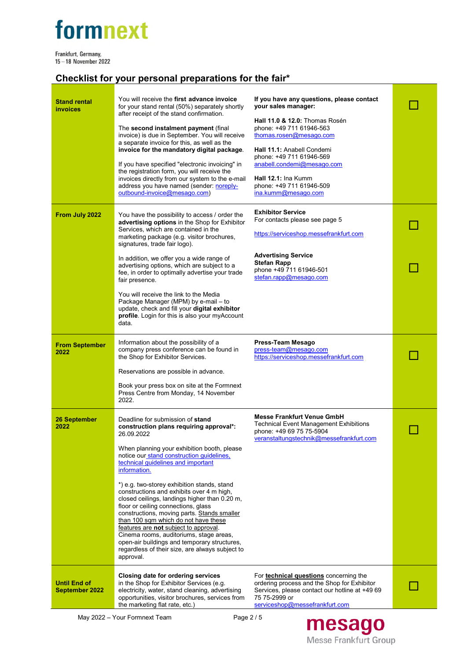# formnext

Frankfurt, Germany,<br>15 – 18 November 2022

## **Checklist for your personal preparations for the fair\***

| Stand rental<br>invoices                     | You will receive the first advance invoice<br>for your stand rental (50%) separately shortly<br>after receipt of the stand confirmation.<br>The second instalment payment (final<br>invoice) is due in September. You will receive<br>a separate invoice for this, as well as the<br>invoice for the mandatory digital package.<br>If you have specified "electronic invoicing" in<br>the registration form, you will receive the<br>invoices directly from our system to the e-mail<br>address you have named (sender: noreply-<br>outbound-invoice@mesago.com)                                                                                                                                                           | If you have any questions, please contact<br>your sales manager:<br>Hall 11.0 & 12.0: Thomas Rosén<br>phone: +49 711 61946-563<br>thomas.rosen@mesago.com<br><b>Hall 11.1: Anabell Condemi</b><br>phone: +49 711 61946-569<br>anabell.condemi@mesago.com<br>Hall 12.1: Ina Kumm<br>phone: +49 711 61946-509<br>ina.kumm@mesago.com |  |
|----------------------------------------------|----------------------------------------------------------------------------------------------------------------------------------------------------------------------------------------------------------------------------------------------------------------------------------------------------------------------------------------------------------------------------------------------------------------------------------------------------------------------------------------------------------------------------------------------------------------------------------------------------------------------------------------------------------------------------------------------------------------------------|------------------------------------------------------------------------------------------------------------------------------------------------------------------------------------------------------------------------------------------------------------------------------------------------------------------------------------|--|
| From July 2022                               | You have the possibility to access / order the<br>advertising options in the Shop for Exhibitor<br>Services, which are contained in the<br>marketing package (e.g. visitor brochures,<br>signatures, trade fair logo).<br>In addition, we offer you a wide range of<br>advertising options, which are subject to a<br>fee, in order to optimally advertise your trade<br>fair presence.<br>You will receive the link to the Media<br>Package Manager (MPM) by e-mail - to<br>update, check and fill your digital exhibitor<br>profile. Login for this is also your myAccount                                                                                                                                               | <b>Exhibitor Service</b><br>For contacts please see page 5<br>https://serviceshop.messefrankfurt.com<br><b>Advertising Service</b><br><b>Stefan Rapp</b><br>phone +49 711 61946-501<br>stefan.rapp@mesago.com                                                                                                                      |  |
| <b>From September</b><br>2022                | data.<br>Information about the possibility of a<br>company press conference can be found in<br>the Shop for Exhibitor Services.<br>Reservations are possible in advance.<br>Book your press box on site at the Formnext<br>Press Centre from Monday, 14 November<br>2022.                                                                                                                                                                                                                                                                                                                                                                                                                                                  | Press-Team Mesago<br>press-team@mesago.com<br>https://serviceshop.messefrankfurt.com                                                                                                                                                                                                                                               |  |
| <b>26 September</b><br>2022                  | Deadline for submission of stand<br>construction plans requiring approval*:<br>26.09.2022<br>When planning your exhibition booth, please<br>notice our stand construction guidelines,<br>technical guidelines and important<br>information.<br>*) e.g. two-storey exhibition stands, stand<br>constructions and exhibits over 4 m high,<br>closed ceilings, landings higher than 0.20 m,<br>floor or ceiling connections, glass<br>constructions, moving parts. Stands smaller<br>than 100 sqm which do not have these<br>features are not subject to approval.<br>Cinema rooms, auditoriums, stage areas,<br>open-air buildings and temporary structures,<br>regardless of their size, are always subject to<br>approval. | <b>Messe Frankfurt Venue GmbH</b><br><b>Technical Event Management Exhibitions</b><br>phone: +49 69 75 75-5904<br>veranstaltungstechnik@messefrankfurt.com                                                                                                                                                                         |  |
| <b>Until End of</b><br><b>September 2022</b> | Closing date for ordering services<br>in the Shop for Exhibitor Services (e.g.<br>electricity, water, stand cleaning, advertising<br>opportunities, visitor brochures, services from<br>the marketing flat rate, etc.)                                                                                                                                                                                                                                                                                                                                                                                                                                                                                                     | For <b>technical questions</b> concerning the<br>ordering process and the Shop for Exhibitor<br>Services, please contact our hotline at +49 69<br>75 75-2999 or<br>serviceshop@messefrankfurt.com                                                                                                                                  |  |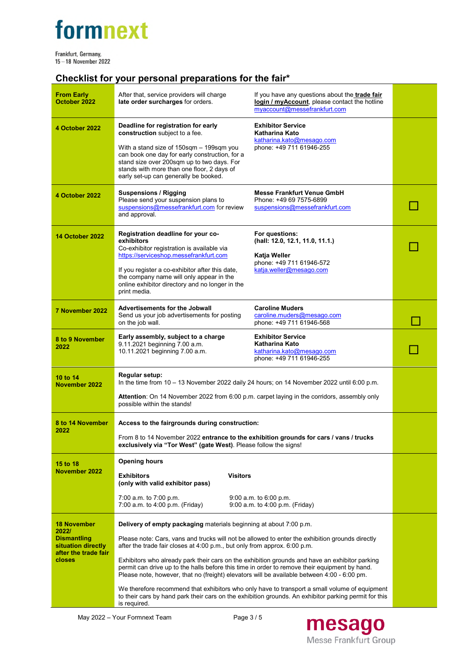# formnext

Frankfurt, Germany,<br>15 – 18 November 2022

## **Checklist for your personal preparations for the fair\***

| <b>From Early</b><br>October 2022                                                                         | After that, service providers will charge<br>late order surcharges for orders.                                                                                                                                                                                                                                                                                                                                                                                                                                                                                                                                                                                                                                                                                                 | If you have any questions about the trade fair<br>login / myAccount, please contact the hotline<br>mvaccount@messefrankfurt.com |  |
|-----------------------------------------------------------------------------------------------------------|--------------------------------------------------------------------------------------------------------------------------------------------------------------------------------------------------------------------------------------------------------------------------------------------------------------------------------------------------------------------------------------------------------------------------------------------------------------------------------------------------------------------------------------------------------------------------------------------------------------------------------------------------------------------------------------------------------------------------------------------------------------------------------|---------------------------------------------------------------------------------------------------------------------------------|--|
| 4 October 2022                                                                                            | Deadline for registration for early<br>construction subject to a fee.<br>With a stand size of 150sqm - 199sqm you<br>can book one day for early construction, for a<br>stand size over 200sqm up to two days. For<br>stands with more than one floor, 2 days of<br>early set-up can generally be booked.                                                                                                                                                                                                                                                                                                                                                                                                                                                                       | <b>Exhibitor Service</b><br>Katharina Kato<br>katharina.kato@mesago.com<br>phone: +49 711 61946-255                             |  |
| 4 October 2022                                                                                            | <b>Suspensions / Rigging</b><br>Please send your suspension plans to<br>suspensions@messefrankfurt.com for review<br>and approval.                                                                                                                                                                                                                                                                                                                                                                                                                                                                                                                                                                                                                                             | <b>Messe Frankfurt Venue GmbH</b><br>Phone: +49 69 7575-6899<br>suspensions@messefrankfurt.com                                  |  |
| <b>14 October 2022</b>                                                                                    | Registration deadline for your co-<br>exhibitors<br>Co-exhibitor registration is available via<br>https://serviceshop.messefrankfurt.com<br>If you register a co-exhibitor after this date,<br>the company name will only appear in the<br>online exhibitor directory and no longer in the<br>print media.                                                                                                                                                                                                                                                                                                                                                                                                                                                                     | For questions:<br>(hall: 12.0, 12.1, 11.0, 11.1.)<br>Katja Weller<br>phone: +49 711 61946-572<br>katja.weller@mesago.com        |  |
| 7 November 2022                                                                                           | <b>Advertisements for the Jobwall</b><br>Send us your job advertisements for posting<br>on the job wall.                                                                                                                                                                                                                                                                                                                                                                                                                                                                                                                                                                                                                                                                       | <b>Caroline Muders</b><br>caroline.muders@mesago.com<br>phone: +49 711 61946-568                                                |  |
| 8 to 9 November<br>2022                                                                                   | Early assembly, subject to a charge<br>9.11.2021 beginning 7.00 a.m.<br>10.11.2021 beginning 7.00 a.m.                                                                                                                                                                                                                                                                                                                                                                                                                                                                                                                                                                                                                                                                         | <b>Exhibitor Service</b><br>Katharina Kato<br>katharina.kato@mesago.com<br>phone: +49 711 61946-255                             |  |
| 10 to 14<br>November 2022                                                                                 | Regular setup:<br>In the time from $10 - 13$ November 2022 daily 24 hours; on 14 November 2022 until 6:00 p.m.<br>Attention: On 14 November 2022 from 6:00 p.m. carpet laying in the corridors, assembly only<br>possible within the stands!                                                                                                                                                                                                                                                                                                                                                                                                                                                                                                                                   |                                                                                                                                 |  |
| 8 to 14 November<br>2022                                                                                  | Access to the fairgrounds during construction:<br>From 8 to 14 November 2022 entrance to the exhibition grounds for cars / vans / trucks<br>exclusively via "Tor West" (gate West). Please follow the signs!                                                                                                                                                                                                                                                                                                                                                                                                                                                                                                                                                                   |                                                                                                                                 |  |
| 15 to 18<br>November 2022                                                                                 | <b>Opening hours</b><br><b>Visitors</b><br><b>Exhibitors</b><br>(only with valid exhibitor pass)<br>7:00 a.m. to 7:00 p.m.<br>7:00 a.m. to 4:00 p.m. (Friday)                                                                                                                                                                                                                                                                                                                                                                                                                                                                                                                                                                                                                  | $9:00$ a.m. to $6:00$ p.m.<br>9:00 a.m. to 4:00 p.m. (Friday)                                                                   |  |
| <b>18 November</b><br>2022/<br><b>Dismantling</b><br>situation directly<br>after the trade fair<br>closes | Delivery of empty packaging materials beginning at about 7:00 p.m.<br>Please note: Cars, vans and trucks will not be allowed to enter the exhibition grounds directly<br>after the trade fair closes at 4:00 p.m., but only from approx. 6:00 p.m.<br>Exhibitors who already park their cars on the exhibition grounds and have an exhibitor parking<br>permit can drive up to the halls before this time in order to remove their equipment by hand.<br>Please note, however, that no (freight) elevators will be available between 4:00 - 6:00 pm.<br>We therefore recommend that exhibitors who only have to transport a small volume of equipment<br>to their cars by hand park their cars on the exhibition grounds. An exhibitor parking permit for this<br>is required. |                                                                                                                                 |  |

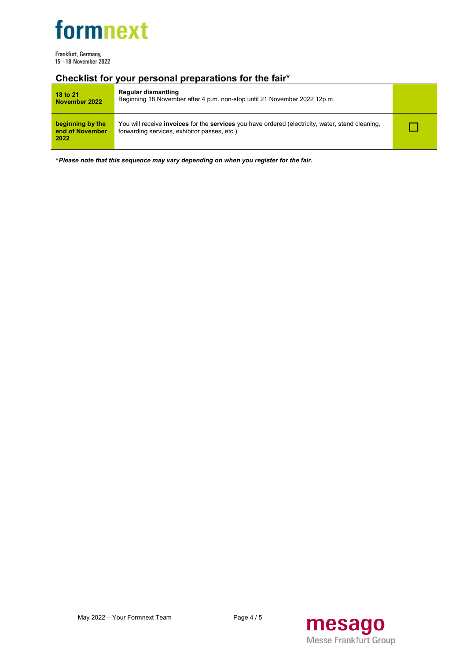

Frankfurt, Germany, 15-18 November 2022

### **Checklist for your personal preparations for the fair\***

| 18 to 21<br>November 2022                   | Regular dismantling<br>Beginning 18 November after 4 p.m. non-stop until 21 November 2022 12p.m.                                                                |  |
|---------------------------------------------|-----------------------------------------------------------------------------------------------------------------------------------------------------------------|--|
| beginning by the<br>end of November<br>2022 | You will receive <b>invoices</b> for the <b>services</b> you have ordered (electricity, water, stand cleaning,<br>forwarding services, exhibitor passes, etc.). |  |

\**Please note that this sequence may vary depending on when you register for the fair.*